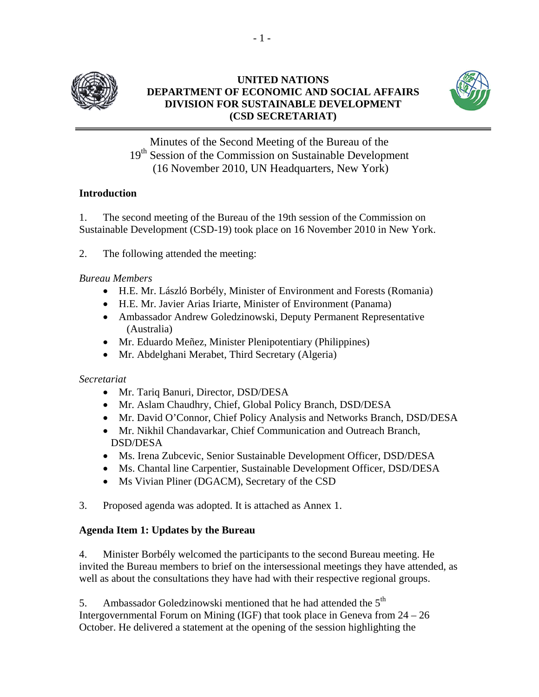

## **UNITED NATIONS DEPARTMENT OF ECONOMIC AND SOCIAL AFFAIRS DIVISION FOR SUSTAINABLE DEVELOPMENT (CSD SECRETARIAT)**



Minutes of the Second Meeting of the Bureau of the 19<sup>th</sup> Session of the Commission on Sustainable Development (16 November 2010, UN Headquarters, New York)

# **Introduction**

1. The second meeting of the Bureau of the 19th session of the Commission on Sustainable Development (CSD-19) took place on 16 November 2010 in New York.

2. The following attended the meeting:

## *Bureau Members*

- H.E. Mr. László Borbély, Minister of Environment and Forests (Romania)
- H.E. Mr. Javier Arias Iriarte, Minister of Environment (Panama)
- Ambassador Andrew Goledzinowski, Deputy Permanent Representative (Australia)
- Mr. Eduardo Meñez, Minister Plenipotentiary (Philippines)
- Mr. Abdelghani Merabet, Third Secretary (Algeria)

# *Secretariat*

- Mr. Tariq Banuri, Director, DSD/DESA
- Mr. Aslam Chaudhry, Chief, Global Policy Branch, DSD/DESA
- Mr. David O'Connor, Chief Policy Analysis and Networks Branch, DSD/DESA
- Mr. Nikhil Chandavarkar, Chief Communication and Outreach Branch, DSD/DESA
- Ms. Irena Zubcevic, Senior Sustainable Development Officer, DSD/DESA
- Ms. Chantal line Carpentier, Sustainable Development Officer, DSD/DESA
- Ms Vivian Pliner (DGACM), Secretary of the CSD
- 3. Proposed agenda was adopted. It is attached as Annex 1.

# **Agenda Item 1: Updates by the Bureau**

4. Minister Borbély welcomed the participants to the second Bureau meeting. He invited the Bureau members to brief on the intersessional meetings they have attended, as well as about the consultations they have had with their respective regional groups.

5. Ambassador Goledzinowski mentioned that he had attended the  $5<sup>th</sup>$ Intergovernmental Forum on Mining (IGF) that took place in Geneva from 24 – 26 October. He delivered a statement at the opening of the session highlighting the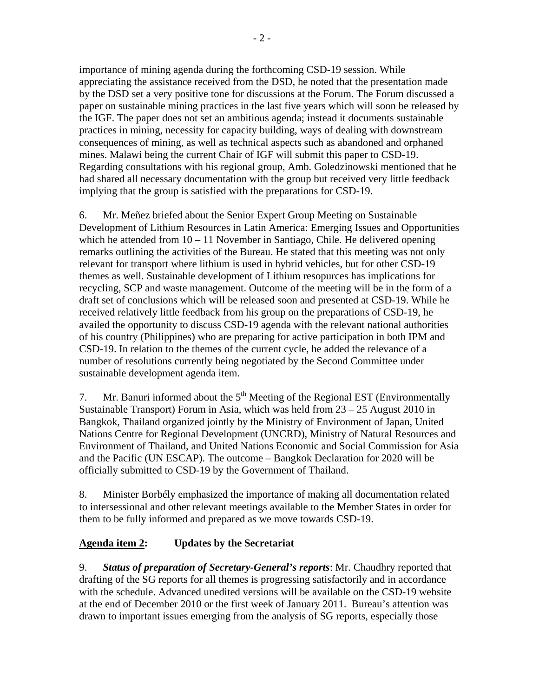importance of mining agenda during the forthcoming CSD-19 session. While appreciating the assistance received from the DSD, he noted that the presentation made by the DSD set a very positive tone for discussions at the Forum. The Forum discussed a paper on sustainable mining practices in the last five years which will soon be released by the IGF. The paper does not set an ambitious agenda; instead it documents sustainable practices in mining, necessity for capacity building, ways of dealing with downstream consequences of mining, as well as technical aspects such as abandoned and orphaned mines. Malawi being the current Chair of IGF will submit this paper to CSD-19. Regarding consultations with his regional group, Amb. Goledzinowski mentioned that he had shared all necessary documentation with the group but received very little feedback implying that the group is satisfied with the preparations for CSD-19.

6. Mr. Meñez briefed about the Senior Expert Group Meeting on Sustainable Development of Lithium Resources in Latin America: Emerging Issues and Opportunities which he attended from  $10 - 11$  November in Santiago, Chile. He delivered opening remarks outlining the activities of the Bureau. He stated that this meeting was not only relevant for transport where lithium is used in hybrid vehicles, but for other CSD-19 themes as well. Sustainable development of Lithium resopurces has implications for recycling, SCP and waste management. Outcome of the meeting will be in the form of a draft set of conclusions which will be released soon and presented at CSD-19. While he received relatively little feedback from his group on the preparations of CSD-19, he availed the opportunity to discuss CSD-19 agenda with the relevant national authorities of his country (Philippines) who are preparing for active participation in both IPM and CSD-19. In relation to the themes of the current cycle, he added the relevance of a number of resolutions currently being negotiated by the Second Committee under sustainable development agenda item.

7. Mr. Banuri informed about the  $5<sup>th</sup>$  Meeting of the Regional EST (Environmentally Sustainable Transport) Forum in Asia, which was held from 23 – 25 August 2010 in Bangkok, Thailand organized jointly by the Ministry of Environment of Japan, United Nations Centre for Regional Development (UNCRD), Ministry of Natural Resources and Environment of Thailand, and United Nations Economic and Social Commission for Asia and the Pacific (UN ESCAP). The outcome – Bangkok Declaration for 2020 will be officially submitted to CSD-19 by the Government of Thailand.

8. Minister Borbély emphasized the importance of making all documentation related to intersessional and other relevant meetings available to the Member States in order for them to be fully informed and prepared as we move towards CSD-19.

# **Agenda item 2: Updates by the Secretariat**

9. *Status of preparation of Secretary-General's reports*: Mr. Chaudhry reported that drafting of the SG reports for all themes is progressing satisfactorily and in accordance with the schedule. Advanced unedited versions will be available on the CSD-19 website at the end of December 2010 or the first week of January 2011. Bureau's attention was drawn to important issues emerging from the analysis of SG reports, especially those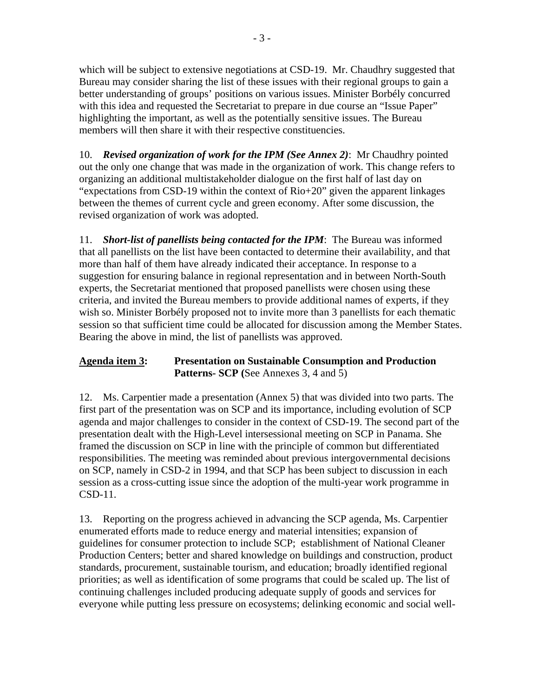which will be subject to extensive negotiations at CSD-19. Mr. Chaudhry suggested that Bureau may consider sharing the list of these issues with their regional groups to gain a better understanding of groups' positions on various issues. Minister Borbély concurred with this idea and requested the Secretariat to prepare in due course an "Issue Paper" highlighting the important, as well as the potentially sensitive issues. The Bureau members will then share it with their respective constituencies.

10. *Revised organization of work for the IPM (See Annex 2)*: Mr Chaudhry pointed out the only one change that was made in the organization of work. This change refers to organizing an additional multistakeholder dialogue on the first half of last day on "expectations from CSD-19 within the context of Rio+20" given the apparent linkages between the themes of current cycle and green economy. After some discussion, the revised organization of work was adopted.

11. *Short-list of panellists being contacted for the IPM*: The Bureau was informed that all panellists on the list have been contacted to determine their availability, and that more than half of them have already indicated their acceptance. In response to a suggestion for ensuring balance in regional representation and in between North-South experts, the Secretariat mentioned that proposed panellists were chosen using these criteria, and invited the Bureau members to provide additional names of experts, if they wish so. Minister Borbély proposed not to invite more than 3 panellists for each thematic session so that sufficient time could be allocated for discussion among the Member States. Bearing the above in mind, the list of panellists was approved.

# **Agenda item 3: Presentation on Sustainable Consumption and Production Patterns- SCP (**See Annexes 3, 4 and 5)

12. Ms. Carpentier made a presentation (Annex 5) that was divided into two parts. The first part of the presentation was on SCP and its importance, including evolution of SCP agenda and major challenges to consider in the context of CSD-19. The second part of the presentation dealt with the High-Level intersessional meeting on SCP in Panama. She framed the discussion on SCP in line with the principle of common but differentiated responsibilities. The meeting was reminded about previous intergovernmental decisions on SCP, namely in CSD-2 in 1994, and that SCP has been subject to discussion in each session as a cross-cutting issue since the adoption of the multi-year work programme in CSD-11.

13. Reporting on the progress achieved in advancing the SCP agenda, Ms. Carpentier enumerated efforts made to reduce energy and material intensities; expansion of guidelines for consumer protection to include SCP; establishment of National Cleaner Production Centers; better and shared knowledge on buildings and construction, product standards, procurement, sustainable tourism, and education; broadly identified regional priorities; as well as identification of some programs that could be scaled up. The list of continuing challenges included producing adequate supply of goods and services for everyone while putting less pressure on ecosystems; delinking economic and social well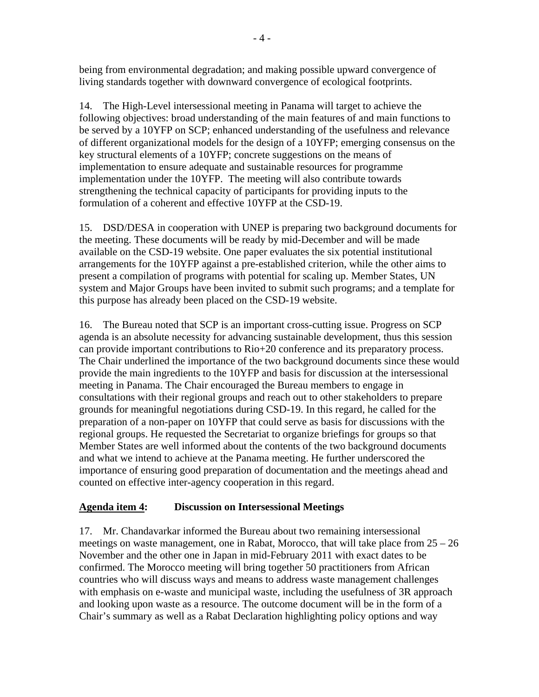being from environmental degradation; and making possible upward convergence of living standards together with downward convergence of ecological footprints.

14. The High-Level intersessional meeting in Panama will target to achieve the following objectives: broad understanding of the main features of and main functions to be served by a 10YFP on SCP; enhanced understanding of the usefulness and relevance of different organizational models for the design of a 10YFP; emerging consensus on the key structural elements of a 10YFP; concrete suggestions on the means of implementation to ensure adequate and sustainable resources for programme implementation under the 10YFP. The meeting will also contribute towards strengthening the technical capacity of participants for providing inputs to the formulation of a coherent and effective 10YFP at the CSD-19.

15. DSD/DESA in cooperation with UNEP is preparing two background documents for the meeting. These documents will be ready by mid-December and will be made available on the CSD-19 website. One paper evaluates the six potential institutional arrangements for the 10YFP against a pre-established criterion, while the other aims to present a compilation of programs with potential for scaling up. Member States, UN system and Major Groups have been invited to submit such programs; and a template for this purpose has already been placed on the CSD-19 website.

16. The Bureau noted that SCP is an important cross-cutting issue. Progress on SCP agenda is an absolute necessity for advancing sustainable development, thus this session can provide important contributions to Rio+20 conference and its preparatory process. The Chair underlined the importance of the two background documents since these would provide the main ingredients to the 10YFP and basis for discussion at the intersessional meeting in Panama. The Chair encouraged the Bureau members to engage in consultations with their regional groups and reach out to other stakeholders to prepare grounds for meaningful negotiations during CSD-19. In this regard, he called for the preparation of a non-paper on 10YFP that could serve as basis for discussions with the regional groups. He requested the Secretariat to organize briefings for groups so that Member States are well informed about the contents of the two background documents and what we intend to achieve at the Panama meeting. He further underscored the importance of ensuring good preparation of documentation and the meetings ahead and counted on effective inter-agency cooperation in this regard.

# **Agenda item 4: Discussion on Intersessional Meetings**

17. Mr. Chandavarkar informed the Bureau about two remaining intersessional meetings on waste management, one in Rabat, Morocco, that will take place from 25 – 26 November and the other one in Japan in mid-February 2011 with exact dates to be confirmed. The Morocco meeting will bring together 50 practitioners from African countries who will discuss ways and means to address waste management challenges with emphasis on e-waste and municipal waste, including the usefulness of 3R approach and looking upon waste as a resource. The outcome document will be in the form of a Chair's summary as well as a Rabat Declaration highlighting policy options and way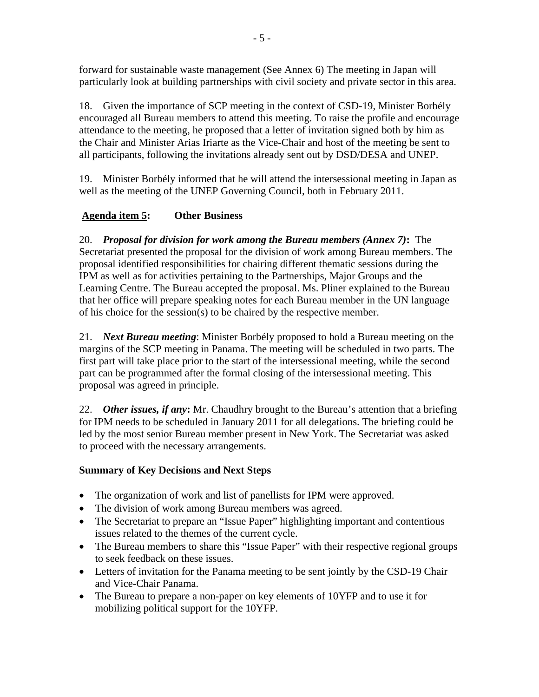forward for sustainable waste management (See Annex 6) The meeting in Japan will particularly look at building partnerships with civil society and private sector in this area.

18. Given the importance of SCP meeting in the context of CSD-19, Minister Borbély encouraged all Bureau members to attend this meeting. To raise the profile and encourage attendance to the meeting, he proposed that a letter of invitation signed both by him as the Chair and Minister Arias Iriarte as the Vice-Chair and host of the meeting be sent to all participants, following the invitations already sent out by DSD/DESA and UNEP.

19. Minister Borbély informed that he will attend the intersessional meeting in Japan as well as the meeting of the UNEP Governing Council, both in February 2011.

# **Agenda item 5: Other Business**

20. *Proposal for division for work among the Bureau members (Annex 7)***:** The Secretariat presented the proposal for the division of work among Bureau members. The proposal identified responsibilities for chairing different thematic sessions during the IPM as well as for activities pertaining to the Partnerships, Major Groups and the Learning Centre. The Bureau accepted the proposal. Ms. Pliner explained to the Bureau that her office will prepare speaking notes for each Bureau member in the UN language of his choice for the session(s) to be chaired by the respective member.

21. *Next Bureau meeting*: Minister Borbély proposed to hold a Bureau meeting on the margins of the SCP meeting in Panama. The meeting will be scheduled in two parts. The first part will take place prior to the start of the intersessional meeting, while the second part can be programmed after the formal closing of the intersessional meeting. This proposal was agreed in principle.

22. *Other issues, if any***:** Mr. Chaudhry brought to the Bureau's attention that a briefing for IPM needs to be scheduled in January 2011 for all delegations. The briefing could be led by the most senior Bureau member present in New York. The Secretariat was asked to proceed with the necessary arrangements.

# **Summary of Key Decisions and Next Steps**

- The organization of work and list of panellists for IPM were approved.
- The division of work among Bureau members was agreed.
- The Secretariat to prepare an "Issue Paper" highlighting important and contentious issues related to the themes of the current cycle.
- The Bureau members to share this "Issue Paper" with their respective regional groups to seek feedback on these issues.
- Letters of invitation for the Panama meeting to be sent jointly by the CSD-19 Chair and Vice-Chair Panama.
- The Bureau to prepare a non-paper on key elements of 10YFP and to use it for mobilizing political support for the 10YFP.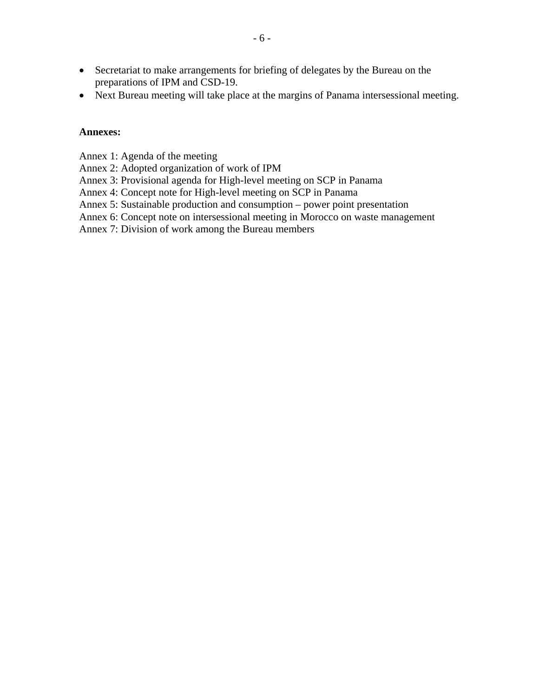- Secretariat to make arrangements for briefing of delegates by the Bureau on the preparations of IPM and CSD-19.
- Next Bureau meeting will take place at the margins of Panama intersessional meeting.

#### **Annexes:**

Annex 1: Agenda of the meeting

Annex 2: Adopted organization of work of IPM

Annex 3: Provisional agenda for High-level meeting on SCP in Panama

Annex 4: Concept note for High-level meeting on SCP in Panama

Annex 5: Sustainable production and consumption – power point presentation

Annex 6: Concept note on intersessional meeting in Morocco on waste management

Annex 7: Division of work among the Bureau members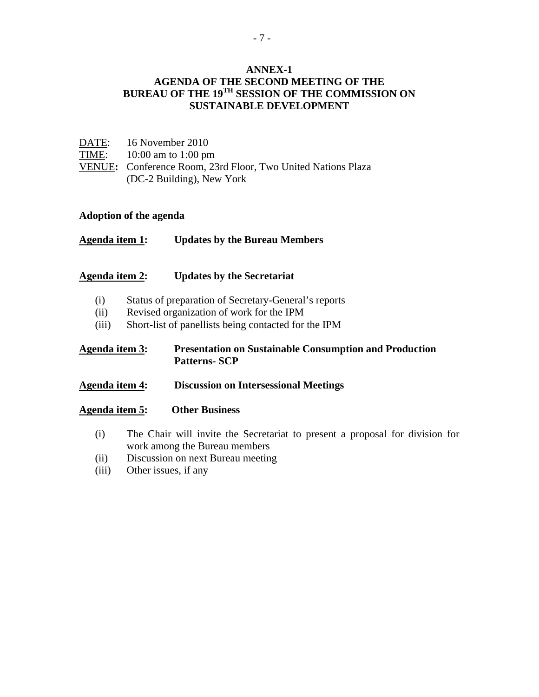## **ANNEX-1 AGENDA OF THE SECOND MEETING OF THE BUREAU OF THE 19TH SESSION OF THE COMMISSION ON SUSTAINABLE DEVELOPMENT**

| DATE: | 16 November 2010                                             |
|-------|--------------------------------------------------------------|
|       | TIME: $10:00$ am to 1:00 pm                                  |
|       | VENUE: Conference Room, 23rd Floor, Two United Nations Plaza |
|       | (DC-2 Building), New York                                    |

### **Adoption of the agenda**

**Agenda item 1: Updates by the Bureau Members** 

#### **Agenda item 2: Updates by the Secretariat**

- (i) Status of preparation of Secretary-General's reports
- (ii) Revised organization of work for the IPM
- (iii) Short-list of panellists being contacted for the IPM

## **Agenda item 3: Presentation on Sustainable Consumption and Production Patterns- SCP**

**Agenda item 4: Discussion on Intersessional Meetings** 

#### **Agenda item 5: Other Business**

- (i) The Chair will invite the Secretariat to present a proposal for division for work among the Bureau members
- (ii) Discussion on next Bureau meeting
- (iii) Other issues, if any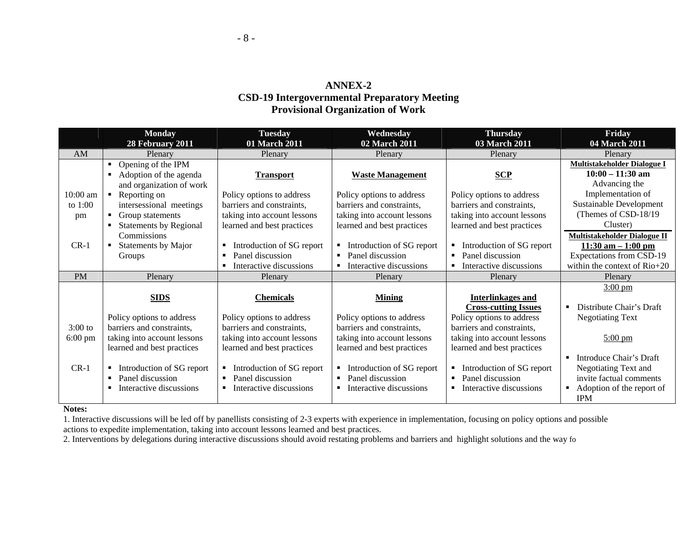## **ANNEX-2 CSD-19 Intergovernmental Preparatory Meeting Provisional Organization of Work**

|                   | <b>Monday</b>                        | <b>Tuesday</b>                 | Wednesday                                 | <b>Thursday</b>                    | Friday                                     |
|-------------------|--------------------------------------|--------------------------------|-------------------------------------------|------------------------------------|--------------------------------------------|
|                   | 28 February 2011                     | 01 March 2011                  | 02 March 2011                             | 03 March 2011                      | 04 March 2011                              |
| AM                | Plenary                              | Plenary                        | Plenary                                   | Plenary                            | Plenary                                    |
|                   | Opening of the IPM<br>$\blacksquare$ |                                |                                           |                                    | Multistakeholder Dialogue I                |
|                   | Adoption of the agenda<br>٠          | <b>Transport</b>               | <b>Waste Management</b>                   | SCP                                | $10:00 - 11:30$ am                         |
|                   | and organization of work             |                                |                                           |                                    | Advancing the                              |
| $10:00$ am        | Reporting on<br>$\blacksquare$       | Policy options to address      | Policy options to address                 | Policy options to address          | Implementation of                          |
| to $1:00$         | intersessional meetings              | barriers and constraints,      | barriers and constraints,                 | barriers and constraints,          | Sustainable Development                    |
| pm                | Group statements                     | taking into account lessons    | taking into account lessons               | taking into account lessons        | (Themes of CSD-18/19)                      |
|                   | <b>Statements by Regional</b>        | learned and best practices     | learned and best practices                | learned and best practices         | Cluster)                                   |
|                   | Commissions                          |                                |                                           |                                    | Multistakeholder Dialogue II               |
| $CR-1$            | Statements by Major<br>۰.            | Introduction of SG report<br>٠ | Introduction of SG report                 | Introduction of SG report          | $11:30$ am $-1:00$ pm                      |
|                   | Groups                               | Panel discussion               | Panel discussion<br>$\blacksquare$        | Panel discussion<br>$\blacksquare$ | <b>Expectations from CSD-19</b>            |
|                   |                                      | Interactive discussions        | Interactive discussions                   | Interactive discussions            | within the context of Rio+20               |
| <b>PM</b>         | Plenary                              | Plenary                        | Plenary                                   | Plenary                            | Plenary                                    |
|                   |                                      |                                |                                           |                                    | $3:00 \text{ pm}$                          |
|                   | <b>SIDS</b>                          | <b>Chemicals</b>               | <b>Mining</b>                             | Interlinkages and                  |                                            |
|                   |                                      |                                |                                           | <b>Cross-cutting Issues</b>        | Distribute Chair's Draft<br>$\blacksquare$ |
|                   | Policy options to address            | Policy options to address      | Policy options to address                 | Policy options to address          | <b>Negotiating Text</b>                    |
| $3:00$ to         | barriers and constraints,            | barriers and constraints,      | barriers and constraints,                 | barriers and constraints,          |                                            |
| $6:00 \text{ pm}$ | taking into account lessons          | taking into account lessons    | taking into account lessons               | taking into account lessons        | $5:00 \text{ pm}$                          |
|                   | learned and best practices           | learned and best practices     | learned and best practices                | learned and best practices         |                                            |
|                   |                                      |                                |                                           |                                    | Introduce Chair's Draft                    |
| $CR-1$            | Introduction of SG report<br>٠       | Introduction of SG report<br>٠ | Introduction of SG report                 | Introduction of SG report          | Negotiating Text and                       |
|                   | Panel discussion                     | Panel discussion               | Panel discussion<br>$\blacksquare$        | Panel discussion<br>$\blacksquare$ | invite factual comments                    |
|                   | Interactive discussions              | Interactive discussions<br>п.  | Interactive discussions<br>$\blacksquare$ | Interactive discussions<br>п       | Adoption of the report of<br>п             |
|                   |                                      |                                |                                           |                                    | <b>IPM</b>                                 |

#### **Notes:**

1. Interactive discussions will be led off by panellists consisting of 2-3 experts with experience in implementation, focusing on policy options and possible actions to expedite implementation, taking into account lessons learned and best practices.

2. Interventions by delegations during interactive discussions should avoid restating problems and barriers and highlight solutions and the way fo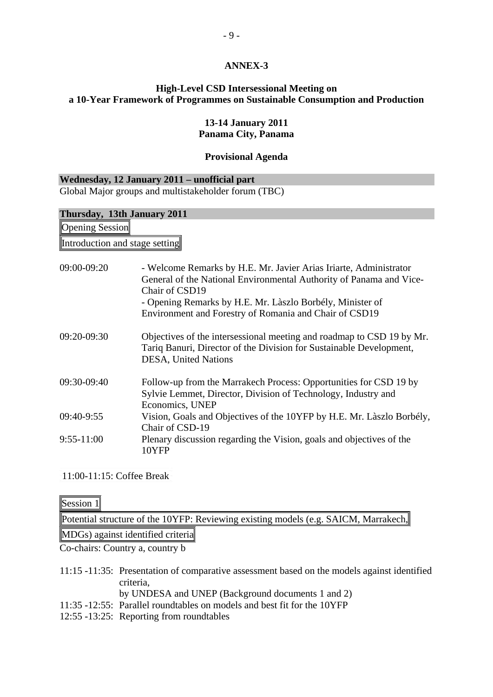## **ANNEX-3**

## **High-Level CSD Intersessional Meeting on a 10-Year Framework of Programmes on Sustainable Consumption and Production**

### **13-14 January 2011 Panama City, Panama**

### **Provisional Agenda**

### **Wednesday, 12 January 2011 – unofficial part**  Global Major groups and multistakeholder forum (TBC)

| Thursday, 13th January 2011    |                                                                                                                                                                                                                                                                                   |  |  |  |  |
|--------------------------------|-----------------------------------------------------------------------------------------------------------------------------------------------------------------------------------------------------------------------------------------------------------------------------------|--|--|--|--|
| <b>Opening Session</b>         |                                                                                                                                                                                                                                                                                   |  |  |  |  |
| Introduction and stage setting |                                                                                                                                                                                                                                                                                   |  |  |  |  |
| 09:00-09:20                    | - Welcome Remarks by H.E. Mr. Javier Arias Iriarte, Administrator<br>General of the National Environmental Authority of Panama and Vice-<br>Chair of CSD19<br>- Opening Remarks by H.E. Mr. Làszlo Borbély, Minister of<br>Environment and Forestry of Romania and Chair of CSD19 |  |  |  |  |
| 09:20-09:30                    | Objectives of the intersessional meeting and roadmap to CSD 19 by Mr.<br>Tariq Banuri, Director of the Division for Sustainable Development,<br>DESA, United Nations                                                                                                              |  |  |  |  |
| 09:30-09:40                    | Follow-up from the Marrakech Process: Opportunities for CSD 19 by<br>Sylvie Lemmet, Director, Division of Technology, Industry and<br>Economics, UNEP                                                                                                                             |  |  |  |  |
| 09:40-9:55                     | Vision, Goals and Objectives of the 10YFP by H.E. Mr. Làszlo Borbély,<br>Chair of CSD-19                                                                                                                                                                                          |  |  |  |  |
| $9:55-11:00$                   | Plenary discussion regarding the Vision, goals and objectives of the<br>10YFP                                                                                                                                                                                                     |  |  |  |  |

11:00-11:15: Coffee Break

Session 1

Potential structure of the 10YFP: Reviewing existing models (e.g. SAICM, Marrakech,

MDGs) against identified criteria

Co-chairs: Country a, country b

- 11:15 -11:35: Presentation of comparative assessment based on the models against identified criteria,
	- by UNDESA and UNEP (Background documents 1 and 2)
- 11:35 -12:55: Parallel roundtables on models and best fit for the 10YFP
- 12:55 -13:25: Reporting from roundtables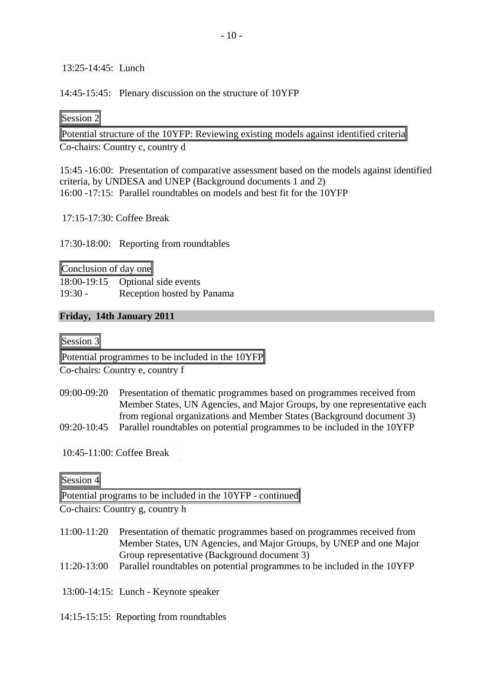13:25-14:45: Lunch

14:45-15:45: Plenary discussion on the structure of 10YFP

# Session 2

Potential structure of the 10YFP: Reviewing existing models against identified criteria

Co-chairs: Country c, country d

15:45 -16:00: Presentation of comparative assessment based on the models against identified criteria, by UNDESA and UNEP (Background documents 1 and 2) 16:00 -17:15: Parallel roundtables on models and best fit for the 10YFP

17:15-17:30: Coffee Break

17:30-18:00: Reporting from roundtables

Conclusion of day one 18:00-19:15 Optional side events 19:30 - Reception hosted by Panama

# **Friday, 14th January 2011**

Session 3

Potential programmes to be included in the 10YFP

Co-chairs: Country e, country f

09:00-09:20 Presentation of thematic programmes based on programmes received from Member States, UN Agencies, and Major Groups, by one representative each from regional organizations and Member States (Background document 3) 09:20-10:45 Parallel roundtables on potential programmes to be included in the 10YFP

10:45-11:00: Coffee Break

# Session 4

Potential programs to be included in the 10YFP - continued

Co-chairs: Country g, country h

- 11:00-11:20 Presentation of thematic programmes based on programmes received from Member States, UN Agencies, and Major Groups, by UNEP and one Major Group representative (Background document 3)
- 11:20-13:00 Parallel roundtables on potential programmes to be included in the 10YFP

13:00-14:15: Lunch - Keynote speaker

14:15-15:15: Reporting from roundtables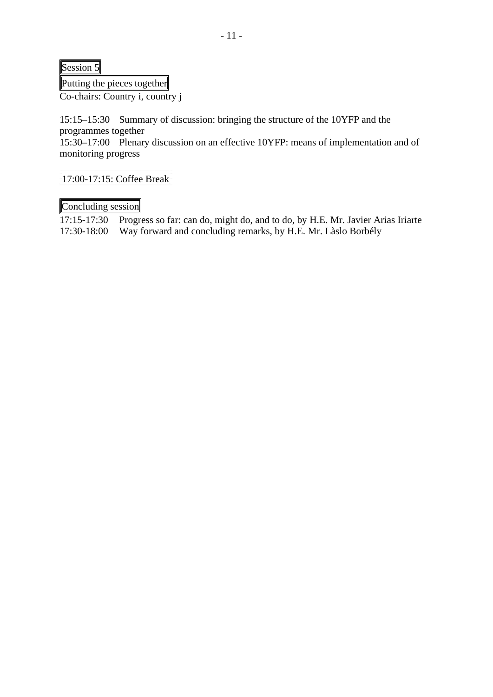Session 5

Putting the pieces together

Co-chairs: Country i, country j

15:15–15:30 Summary of discussion: bringing the structure of the 10YFP and the programmes together

15:30–17:00 Plenary discussion on an effective 10YFP: means of implementation and of monitoring progress

17:00-17:15: Coffee Break

Concluding session

17:15-17:30 Progress so far: can do, might do, and to do, by H.E. Mr. Javier Arias Iriarte 17:30-18:00 Way forward and concluding remarks, by H.E. Mr. Làslo Borbély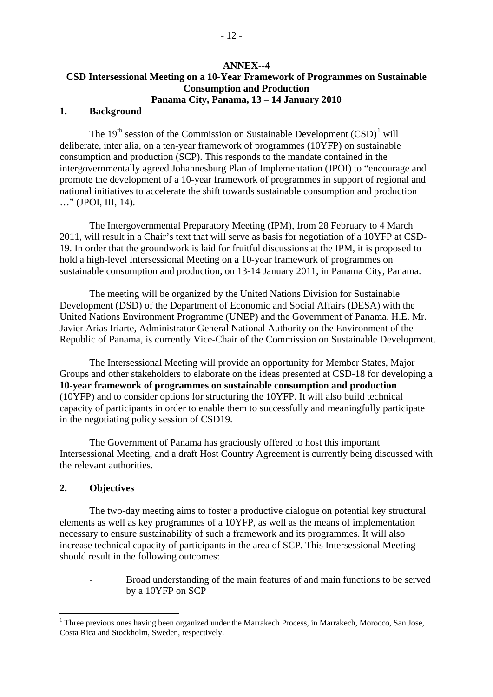## **ANNEX--4 CSD Intersessional Meeting on a 10-Year Framework of Programmes on Sustainable Consumption and Production Panama City, Panama, 13 – 14 January 2010**

#### **1. Background**

The  $19<sup>th</sup>$  $19<sup>th</sup>$  session of the Commission on Sustainable Development  $(CSD)<sup>1</sup>$  will deliberate, inter alia, on a ten-year framework of programmes (10YFP) on sustainable consumption and production (SCP). This responds to the mandate contained in the intergovernmentally agreed Johannesburg Plan of Implementation (JPOI) to "encourage and promote the development of a 10-year framework of programmes in support of regional and national initiatives to accelerate the shift towards sustainable consumption and production …" (JPOI, III, 14).

The Intergovernmental Preparatory Meeting (IPM), from 28 February to 4 March 2011, will result in a Chair's text that will serve as basis for negotiation of a 10YFP at CSD-19. In order that the groundwork is laid for fruitful discussions at the IPM, it is proposed to hold a high-level Intersessional Meeting on a 10-year framework of programmes on sustainable consumption and production, on 13-14 January 2011, in Panama City, Panama.

The meeting will be organized by the United Nations Division for Sustainable Development (DSD) of the Department of Economic and Social Affairs (DESA) with the United Nations Environment Programme (UNEP) and the Government of Panama. H.E. Mr. Javier Arias Iriarte, Administrator General National Authority on the Environment of the Republic of Panama, is currently Vice-Chair of the Commission on Sustainable Development.

The Intersessional Meeting will provide an opportunity for Member States, Major Groups and other stakeholders to elaborate on the ideas presented at CSD-18 for developing a **10-year framework of programmes on sustainable consumption and production**  (10YFP) and to consider options for structuring the 10YFP. It will also build technical capacity of participants in order to enable them to successfully and meaningfully participate in the negotiating policy session of CSD19.

The Government of Panama has graciously offered to host this important Intersessional Meeting, and a draft Host Country Agreement is currently being discussed with the relevant authorities.

### **2. Objectives**

1

 The two-day meeting aims to foster a productive dialogue on potential key structural elements as well as key programmes of a 10YFP, as well as the means of implementation necessary to ensure sustainability of such a framework and its programmes. It will also increase technical capacity of participants in the area of SCP. This Intersessional Meeting should result in the following outcomes:

> Broad understanding of the main features of and main functions to be served by a 10YFP on SCP

<span id="page-11-0"></span><sup>&</sup>lt;sup>1</sup> Three previous ones having been organized under the Marrakech Process, in Marrakech, Morocco, San Jose, Costa Rica and Stockholm, Sweden, respectively.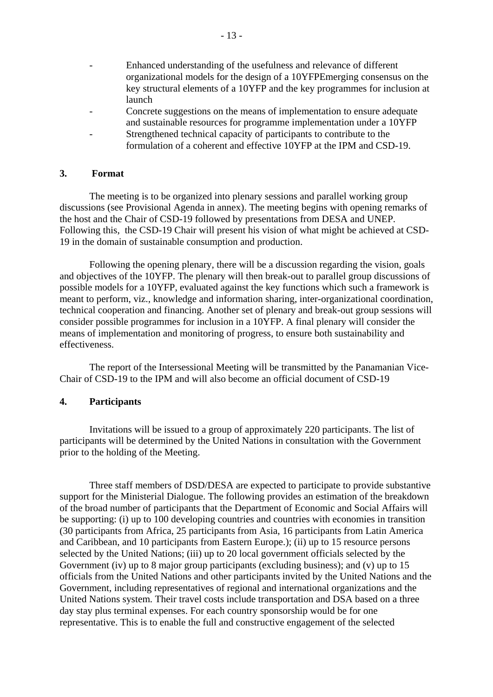- Enhanced understanding of the usefulness and relevance of different organizational models for the design of a 10YFPEmerging consensus on the key structural elements of a 10YFP and the key programmes for inclusion at launch
- Concrete suggestions on the means of implementation to ensure adequate and sustainable resources for programme implementation under a 10YFP
- Strengthened technical capacity of participants to contribute to the formulation of a coherent and effective 10YFP at the IPM and CSD-19.

## **3. Format**

The meeting is to be organized into plenary sessions and parallel working group discussions (see Provisional Agenda in annex). The meeting begins with opening remarks of the host and the Chair of CSD-19 followed by presentations from DESA and UNEP. Following this, the CSD-19 Chair will present his vision of what might be achieved at CSD-19 in the domain of sustainable consumption and production.

Following the opening plenary, there will be a discussion regarding the vision, goals and objectives of the 10YFP. The plenary will then break-out to parallel group discussions of possible models for a 10YFP, evaluated against the key functions which such a framework is meant to perform, viz., knowledge and information sharing, inter-organizational coordination, technical cooperation and financing. Another set of plenary and break-out group sessions will consider possible programmes for inclusion in a 10YFP. A final plenary will consider the means of implementation and monitoring of progress, to ensure both sustainability and effectiveness.

The report of the Intersessional Meeting will be transmitted by the Panamanian Vice-Chair of CSD-19 to the IPM and will also become an official document of CSD-19

### **4. Participants**

Invitations will be issued to a group of approximately 220 participants. The list of participants will be determined by the United Nations in consultation with the Government prior to the holding of the Meeting.

Three staff members of DSD/DESA are expected to participate to provide substantive support for the Ministerial Dialogue. The following provides an estimation of the breakdown of the broad number of participants that the Department of Economic and Social Affairs will be supporting: (i) up to 100 developing countries and countries with economies in transition (30 participants from Africa, 25 participants from Asia, 16 participants from Latin America and Caribbean, and 10 participants from Eastern Europe.); (ii) up to 15 resource persons selected by the United Nations; (iii) up to 20 local government officials selected by the Government (iv) up to 8 major group participants (excluding business); and (v) up to 15 officials from the United Nations and other participants invited by the United Nations and the Government, including representatives of regional and international organizations and the United Nations system. Their travel costs include transportation and DSA based on a three day stay plus terminal expenses. For each country sponsorship would be for one representative. This is to enable the full and constructive engagement of the selected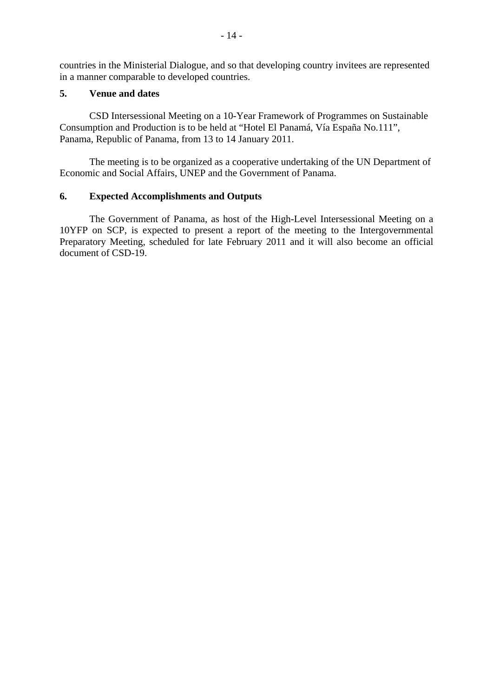countries in the Ministerial Dialogue, and so that developing country invitees are represented in a manner comparable to developed countries.

## **5. Venue and dates**

CSD Intersessional Meeting on a 10-Year Framework of Programmes on Sustainable Consumption and Production is to be held at "Hotel El Panamá, Vía España No.111", Panama, Republic of Panama, from 13 to 14 January 2011.

The meeting is to be organized as a cooperative undertaking of the UN Department of Economic and Social Affairs, UNEP and the Government of Panama.

## **6. Expected Accomplishments and Outputs**

 The Government of Panama, as host of the High-Level Intersessional Meeting on a 10YFP on SCP, is expected to present a report of the meeting to the Intergovernmental Preparatory Meeting, scheduled for late February 2011 and it will also become an official document of CSD-19.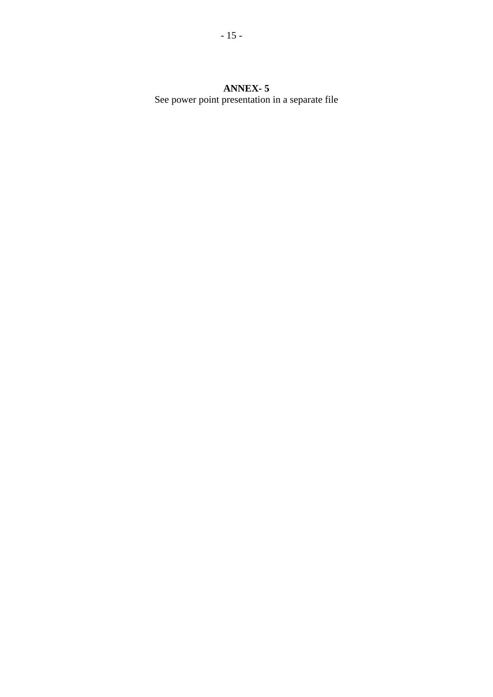**ANNEX- 5**  See power point presentation in a separate file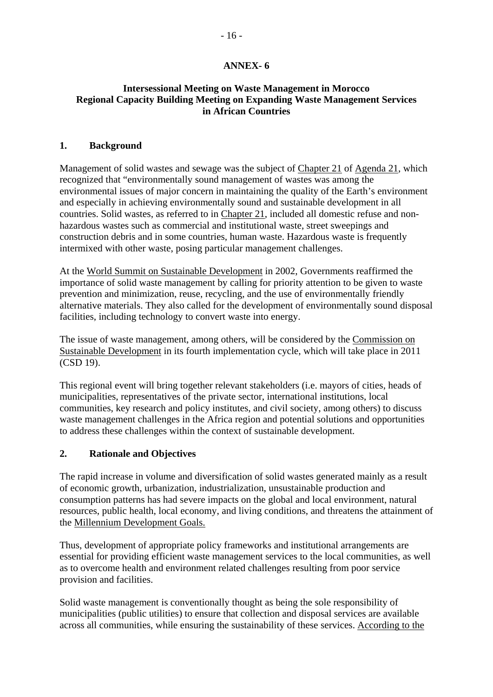# **ANNEX- 6**

# **Intersessional Meeting on Waste Management in Morocco Regional Capacity Building Meeting on Expanding Waste Management Services in African Countries**

## **1. Background**

Management of solid wastes and sewage was the subject of [Chapter 21](http://www.un.org/esa/sustdev/documents/agenda21/english/agenda21chapter21.htm) of [Agenda 21](http://www.un.org/esa/sustdev/documents/agenda21/english/agenda21toc.htm), which recognized that "environmentally sound management of wastes was among the environmental issues of major concern in maintaining the quality of the Earth's environment and especially in achieving environmentally sound and sustainable development in all countries. Solid wastes, as referred to in [Chapter 21,](http://www.un.org/esa/sustdev/documents/agenda21/english/agenda21chapter21.htm) included all domestic refuse and nonhazardous wastes such as commercial and institutional waste, street sweepings and construction debris and in some countries, human waste. Hazardous waste is frequently intermixed with other waste, posing particular management challenges.

At the [World Summit on Sustainable Development](http://www.un.org/jsummit/html/documents/summit_docs.html) in 2002, Governments reaffirmed the importance of solid waste management by calling for priority attention to be given to waste prevention and minimization, reuse, recycling, and the use of environmentally friendly alternative materials. They also called for the development of environmentally sound disposal facilities, including technology to convert waste into energy.

The issue of waste management, among others, will be considered by the [Commission on](http://www.un.org/esa/dsd/csd/csd_csd18.shtml)  [Sustainable Development](http://www.un.org/esa/dsd/csd/csd_csd18.shtml) in its fourth implementation cycle, which will take place in 2011 (CSD 19).

This regional event will bring together relevant stakeholders (i.e. mayors of cities, heads of municipalities, representatives of the private sector, international institutions, local communities, key research and policy institutes, and civil society, among others) to discuss waste management challenges in the Africa region and potential solutions and opportunities to address these challenges within the context of sustainable development.

# **2. Rationale and Objectives**

The rapid increase in volume and diversification of solid wastes generated mainly as a result of economic growth, urbanization, industrialization, unsustainable production and consumption patterns has had severe impacts on the global and local environment, natural resources, public health, local economy, and living conditions, and threatens the attainment of the [Millennium Development Goals.](http://www.un.org/millenniumgoals/)

Thus, development of appropriate policy frameworks and institutional arrangements are essential for providing efficient waste management services to the local communities, as well as to overcome health and environment related challenges resulting from poor service provision and facilities.

Solid waste management is conventionally thought as being the sole responsibility of municipalities (public utilities) to ensure that collection and disposal services are available across all communities, while ensuring the sustainability of these services. According to the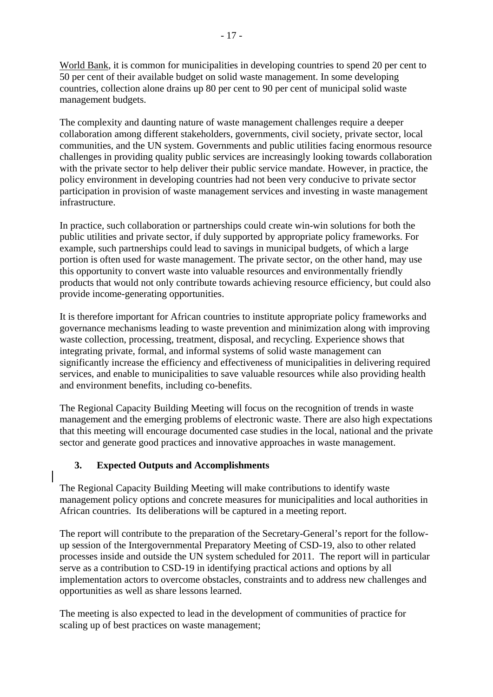[World Bank,](http://web.worldbank.org/WBSITE/EXTERNAL/TOPICS/EXTURBANDEVELOPMENT/EXTUSWM/0,,menuPK:463847~pagePK:149018~piPK:149093~theSitePK:463841,00.html) it is common for municipalities in developing countries to spend 20 per cent to 50 per cent of their available budget on solid waste management. In some developing countries, collection alone drains up 80 per cent to 90 per cent of municipal solid waste management budgets.

The complexity and daunting nature of waste management challenges require a deeper collaboration among different stakeholders, governments, civil society, private sector, local communities, and the UN system. Governments and public utilities facing enormous resource challenges in providing quality public services are increasingly looking towards collaboration with the private sector to help deliver their public service mandate. However, in practice, the policy environment in developing countries had not been very conducive to private sector participation in provision of waste management services and investing in waste management infrastructure.

In practice, such collaboration or partnerships could create win-win solutions for both the public utilities and private sector, if duly supported by appropriate policy frameworks. For example, such partnerships could lead to savings in municipal budgets, of which a large portion is often used for waste management. The private sector, on the other hand, may use this opportunity to convert waste into valuable resources and environmentally friendly products that would not only contribute towards achieving resource efficiency, but could also provide income-generating opportunities.

It is therefore important for African countries to institute appropriate policy frameworks and governance mechanisms leading to waste prevention and minimization along with improving waste collection, processing, treatment, disposal, and recycling. Experience shows that integrating private, formal, and informal systems of solid waste management can significantly increase the efficiency and effectiveness of municipalities in delivering required services, and enable to municipalities to save valuable resources while also providing health and environment benefits, including co-benefits.

The Regional Capacity Building Meeting will focus on the recognition of trends in waste management and the emerging problems of electronic waste. There are also high expectations that this meeting will encourage documented case studies in the local, national and the private sector and generate good practices and innovative approaches in waste management.

# **3. Expected Outputs and Accomplishments**

The Regional Capacity Building Meeting will make contributions to identify waste management policy options and concrete measures for municipalities and local authorities in African countries. Its deliberations will be captured in a meeting report.

The report will contribute to the preparation of the Secretary-General's report for the followup session of the Intergovernmental Preparatory Meeting of CSD-19, also to other related processes inside and outside the UN system scheduled for 2011. The report will in particular serve as a contribution to CSD-19 in identifying practical actions and options by all implementation actors to overcome obstacles, constraints and to address new challenges and opportunities as well as share lessons learned.

The meeting is also expected to lead in the development of communities of practice for scaling up of best practices on waste management;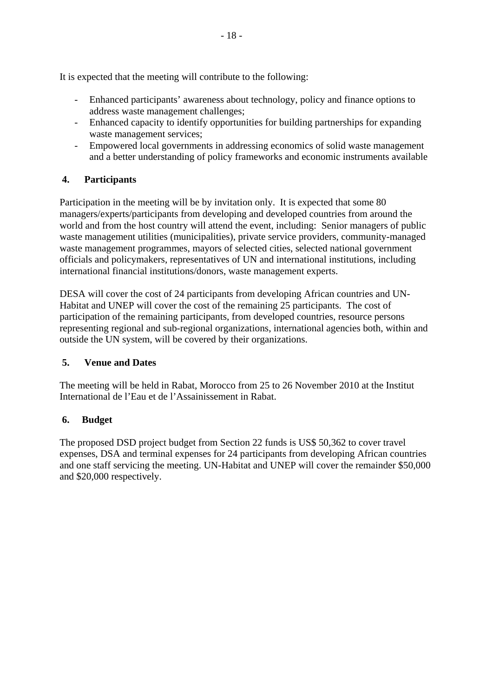It is expected that the meeting will contribute to the following:

- Enhanced participants' awareness about technology, policy and finance options to address waste management challenges;
- Enhanced capacity to identify opportunities for building partnerships for expanding waste management services;
- Empowered local governments in addressing economics of solid waste management and a better understanding of policy frameworks and economic instruments available

# **4. Participants**

Participation in the meeting will be by invitation only. It is expected that some 80 managers/experts/participants from developing and developed countries from around the world and from the host country will attend the event, including: Senior managers of public waste management utilities (municipalities), private service providers, community-managed waste management programmes, mayors of selected cities, selected national government officials and policymakers, representatives of UN and international institutions, including international financial institutions/donors, waste management experts.

DESA will cover the cost of 24 participants from developing African countries and UN-Habitat and UNEP will cover the cost of the remaining 25 participants. The cost of participation of the remaining participants, from developed countries, resource persons representing regional and sub-regional organizations, international agencies both, within and outside the UN system, will be covered by their organizations.

# **5. Venue and Dates**

The meeting will be held in Rabat, Morocco from 25 to 26 November 2010 at the Institut International de l'Eau et de l'Assainissement in Rabat.

# **6. Budget**

The proposed DSD project budget from Section 22 funds is US\$ 50,362 to cover travel expenses, DSA and terminal expenses for 24 participants from developing African countries and one staff servicing the meeting. UN-Habitat and UNEP will cover the remainder \$50,000 and \$20,000 respectively.